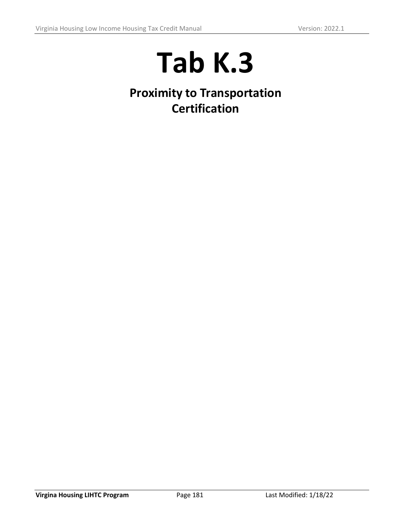## **Tab K.3**

**Proximity to Transportation Certification**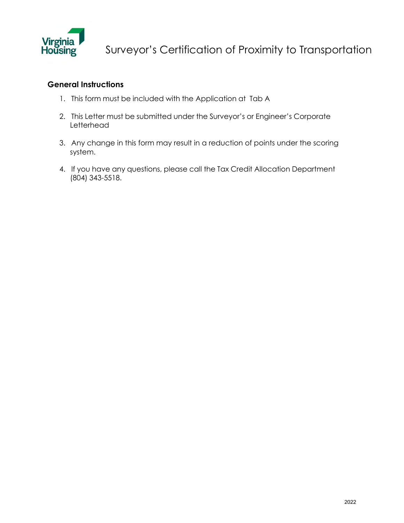

## **General Instructions**

- 1. This form must be included with the Application at Tab A
- 2. This Letter must be submitted under the Surveyor's or Engineer's Corporate Letterhead
- 3. Any change in this form may result in a reduction of points under the scoring system.
- 4. If you have any questions, please call the Tax Credit Allocation Department (804) 343-5518.